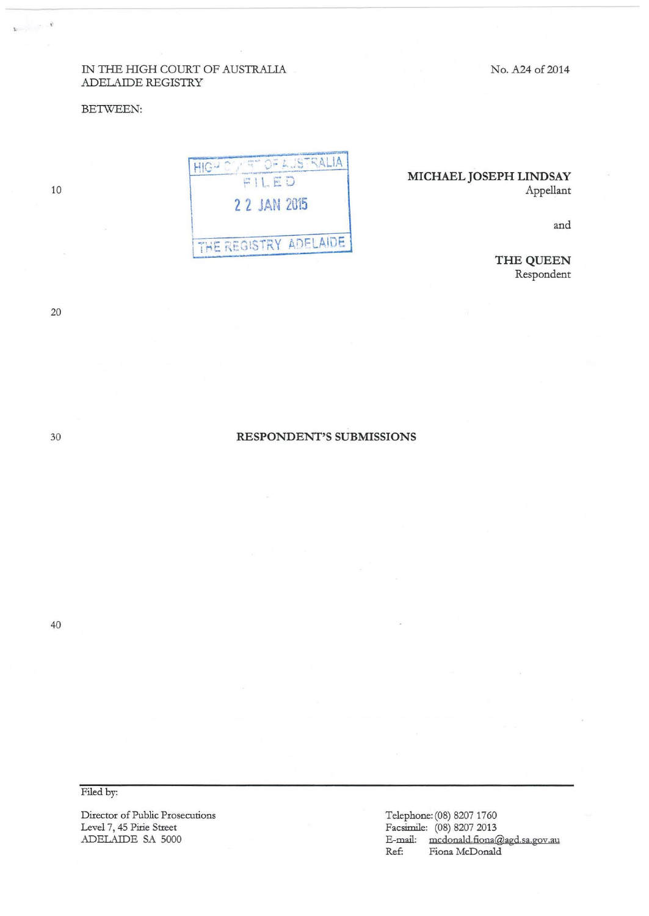No. A24 of 2014

### IN THE HIGH COURT OF AUSTRALIA ADELAIDE REGISTRY

#### BETWEEN:

# **MICHAEL JOSEPH LINDSAY**  Appellant

and

**THE QUEEN**  Respondent

HIGH OU RT OF AUSTRALIA FILED **2 2 JAN 2015**  THE REGISTRY ADELAIDE

**RESPONDENT'S SUBMISSIONS** 

40

Filed by:

Director of Public Prosecutions Level 7, 45 Pirie Street ADELAIDE SA 5000

Telephone: (08) 8207 1760 Facsimile: (08) 8207 2013 E-mail: mcdonald.fiona@agd.sa.gov.au Ref: Fiona McDonald

30

20

10

 $\mathbf{x} = \frac{1}{2} \left( \begin{array}{cc} 0 & 0 \\ 0 & 0 \end{array} \right)$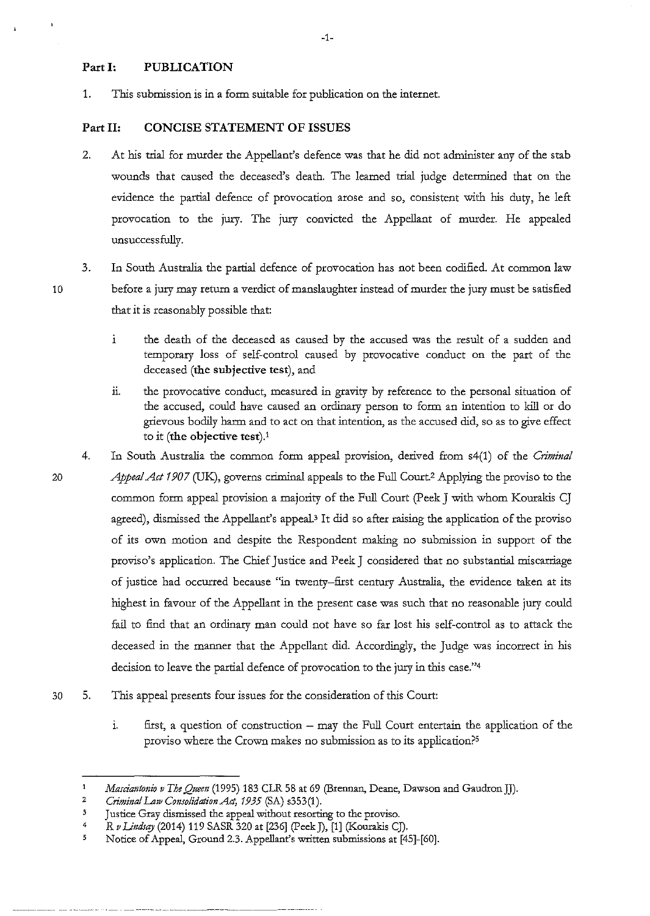## **Part I: PUBLICATION**

1. This submission is in a form suitable for publication on the internet.

# **Part II: CONCISE STATEMENT OF ISSUES**

- 2. At his trial for murder the Appellant's defence was that he did not administer any of the stab wounds that caused the deceased's death. The learned trial judge determined that on the evidence the partial defence of provocation arose and so, consistent with his duty, he left provocation to the jury. The jury convicted the Appellant of murder. He appealed unsuccessfully.
- 10

20

3. In South Australia the partial defence of provocation has not been codified. At common law before a jury may return a verdict of manslaughter instead of murder the jury must be satisfied that it is reasonably possible that:

- i the death of the deceased as caused by the accused was the result of a sudden and temporary loss of self-control caused by provocative conduct on the part of the deceased **(the subjective test),** and
- ii. the provocative conduct, measured in gravity by reference to the personal situation of the accused, could have caused an ordinary person to form an intention to kill or do grievous bodily harm and to act on that intention, as the accused did, so as to give effect to it **(the objective test).'**
- 4. In South Australia the common form appeal provision, derived from s4(1) of the *Criminal Appeal Act 1907* (UK), governs criminal appeals to the Full Court.2 Applying the proviso to the common form appeal provision a majority of the Full Court (Peek J with whom Kourakis CJ agreed), dismissed the Appellant's appeal.<sup>3</sup> It did so after raising the application of the proviso of its own motion and despite the Respondent making no submission in support of the proviso's application. The Chief Justice and Peek J considered that no substantial miscarriage of justice had occurred because "in twenty-first century Australia, the evidence taken at its highest in favour of the Appellant in the present case was such that no reasonable jury could fail to find that an ordinary man could not have so far lost his self-control as to attack the deceased in the manner that the Appellant did. Accordingly, the Judge was incorrect in his decision to leave the partial defence of provocation to the jury in this case."4
- 30 5. This appeal presents four issues for the consideration of this Court:
	- 1. first, a question of construction may the Full Court entertain the application of the proviso where the Crown makes no submission as to its application?5

 $\mathbf{1}$ *Marciantonw v The Queen* (1995) 183 CLR 58 at 69 (Brennan, Deane, Dawson and Gaudron JJ).

<sup>2</sup>  *Criminal Law Consolidation Act, 1935* (SA) s353(1 ).

<sup>3</sup>  Justice Gray dismissed the appeal without resorting to the proviso.

<sup>4</sup>  R v Lindsay (2014) 119 SASR 320 at [236] (Peek J), [1] (Kourakis CJ).

*<sup>5</sup>*  Notice of Appeal, Ground 2.3. Appellant's written submissions at [45]-[60].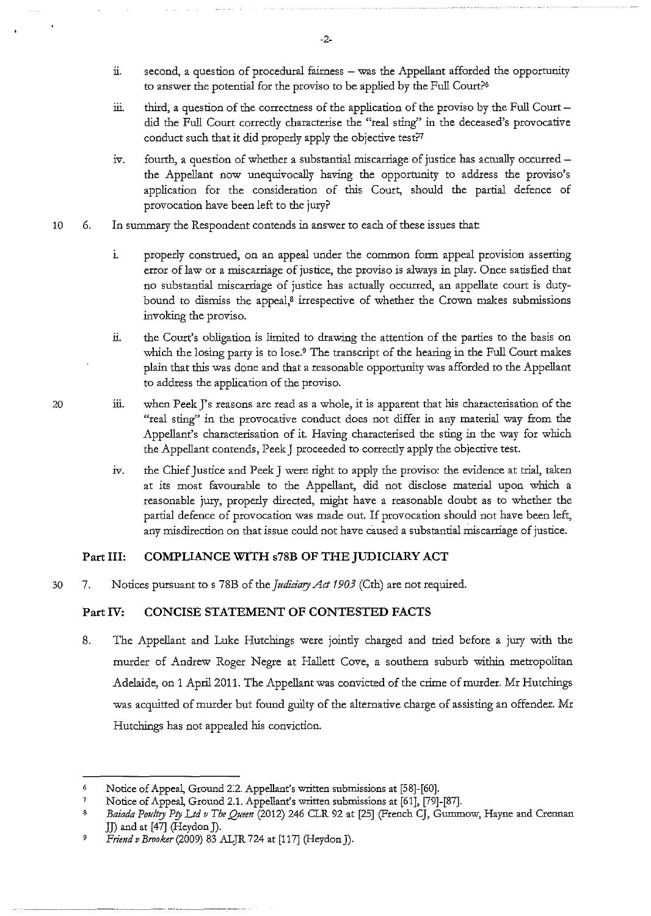- ii. second, a question of procedural fairness was the Appellant afforded the opportunity to answer the potential for the proviso to be applied by the Full Court?'
- iii. third, a question of the correctness of the application of the proviso by the Full Court  $$ did the Full Court correcdy characterise the "real sting'' in the deceased's provocative conduct such that it did properly apply the objective test?7
- $iv.$  fourth, a question of whether a substantial miscarriage of justice has actually occurred the Appellant now unequivocally having the opportunity to address the proviso's application for the consideration of this Court, should the partial defence of provocation have been left to the jury?
- 10 6. In summary the Respondent contends in answer to each of these issues that
	- 1. properly construed, on an appeal under the common form appeal provision asserting error of law or a miscarriage of justice, the proviso is always in play. Once satisfied that no substantial miscarriage of justice has actually occurred, an appellate court is dutybound to dismiss the appeal, $\beta$  irrespective of whether the Crown makes submissions invoking the proviso.
	- ii. the Court's obligation is limited to drawing the attention of the parties to the basis on which the losing party is to lose.9 The transcript of the hearing in the Full Court makes plain that this was done and that a reasonable opportunity was afforded to the Appellant to address the application of the proviso.
- 20 111. when Peek J's reasons are read as a whole, it is apparent that his characterisation of the "real sting" in the provocative conduct does not differ in any material way from the Appellant's characterisation of it. Having characterised the sting in the way for which the Appellant contends, Peek J proceeded to correcdy apply the objective test.
	- iv. the Chief Justice and Peek J were right to apply the proviso: the evidence at trial, taken at its most favourable to the Appellant, did not disclose material upon which a reasonable jury, properly directed, might have a reasonable doubt as to whether the partial defence of provocation was made out. If provocation should not have been left, any misdirection on that issue could not have caused a substantial nus carriage of justice.

## **Part III: COMPLIANCE WITH s78B OF THE JUDICIARY ACT**

30 7. Notices pursuant to s 78B of the *Judiciary Act 1903* (Cth) are not required.

#### **Part IV: CONCISE STATEMENT OF CONTESTED FACTS**

8. The Appellant and Luke Hutchings were joindy charged and ttied before a jury with the murder of Andrew Roger Negre at Hallett *Cove,* a southern suburb within metropolitan Adelaide, on 1 April2011. The Appellant was convicted of the crime of murder. Mr Hutchings was acquitted of murder but found guilty of the alternative charge of assisting an offender. Mr Hutchings has not appealed his conviction.

-2-

<sup>6</sup> Notice of Appeal, Ground 2:2. Appellant's written submissions at [58]-[60].

<sup>7</sup> Notice of Appeal, Ground 2.1. Appellant's written submissions at (61], [79]-[87].

<sup>8</sup> Baiada Poultry Pty Ltd v The Queen (2012) 246 CLR 92 at [25] (French CJ, Gummow, Hayne and Crennan JJ) and at [47] (Heydon]).

*<sup>9</sup> Friend v Brooker* (2009) 83 ALJR 724 at [117] (Heydon J).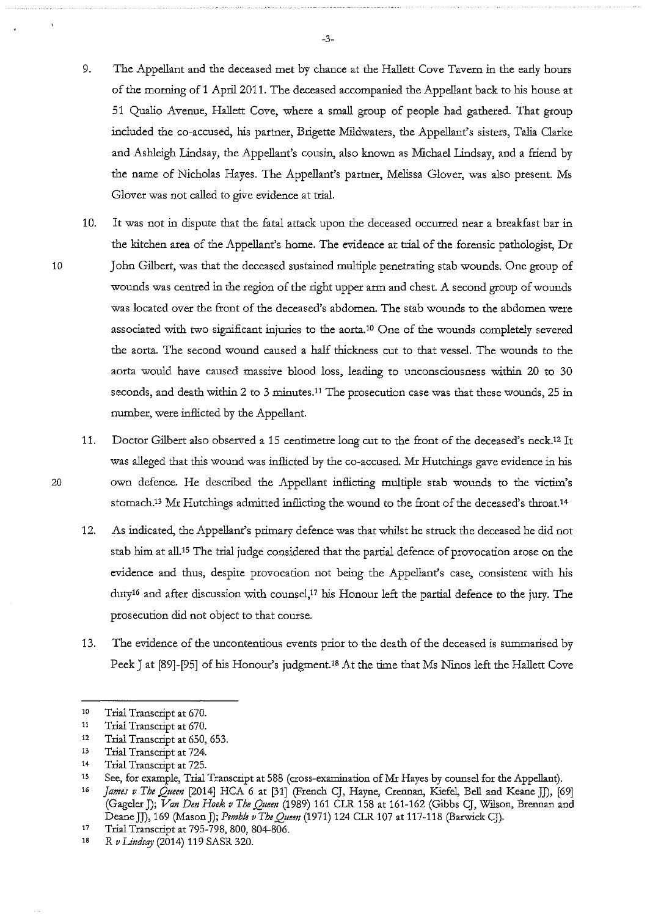- 9. The Appellant and the deceased met by chance at the Hallett Cove Tavern in the early hours of the morning of 1 April 2011. The deceased accompanied the Appellant back to his house at 51 Qualio Avenue, Hallett *Cove,* where a small group of people had gathered. That group included the co-accused, his partner, Brigette Mildwaters, the Appellant's sisters, Talia Clarke and Ashleigh Lindsay, the Appellant's cousin, also known as Michael Lindsay, and a fiiend by the name of Nicholas Hayes. The Appellant's partner, Melissa Glover, was also present. Ms Glover was not called to *give* evidence at ttial.
- 10. It was not in dispute that the fatal attack upon the deceased occurred near a breakfast bar in the kitchen area of the Appellant's home. The evidence at ttial of the forensic pathologist, Dr 10 John Gilbert, was that the deceased sustained multiple penetrating stab wounds. One group of wounds was centred in the region of the right upper arm and chest. A second group of wounds was located *over* the front of the deceased's abdomen. The stab wounds to the abdomen were associated with two significant injuries to the aorta.10 One of the wounds completely severed the aorta. The second wound caused a half thickness cut to that vessel. The wounds to the aorta would have caused massive blood loss, leading to unconsciousness within 20 to 30 seconds, and death within 2 to 3 minutes.<sup>11</sup> The prosecution case was that these wounds, 25 in number, were inflicted by the Appellant.
- 11. Doctor Gilbert also observed a 15 centimetre long cut to the front of the deceased's neck.12 It was alleged that this wound was inflicted by the co-accused. Mr Hutchings gave evidence in his 20 own defence. He described the Appellant inflicting multiple stab wounds to the victim's stomach.<sup>13</sup> Mr Hutchings admitted inflicting the wound to the front of the deceased's throat.<sup>14</sup>
	- 12. As indicated, the Appellant's primary defence was that whilst he struck the deceased he did not stab him at all.15 The ttial judge considered that the partial defence of provocation arose on the evidence and thus, despite provocation not being the Appellant's case, consistent with his duty<sup>16</sup> and after discussion with counsel,<sup>17</sup> his Honour left the partial defence to the jury. The prosecution did not object to that course.
	- 13. The evidence of the uncontentious events prior to the death of the deceased is summarised by Peek J at [89]-[95] of his Honour's judgment.<sup>18</sup> At the time that Ms Ninos left the Hallett Cove

-3-

<sup>10</sup>  Trial Transcript at 670.

<sup>11</sup>  Trial Transcript at 670.

<sup>12</sup>  Trial Transcript at 650, 653.

<sup>13</sup>  Trial Transcript at 724.

<sup>14</sup>  Trial Transcript at 725.

<sup>15</sup>  See, for example, Trial Transcript at 588 (cross-examination of Mr Hayes by counsel for the Appellant).

<sup>16</sup>  *James v The Queen* [2014] HCA 6 at [31] (French CJ, Hayne, Crennan, Kiefel, Bell and Keane JJ), [69] (Gageler J); *Van Den Hoek v The Queen* (1989) 161 CLR 158 at 161-162 (Gibbs CJ, Wllson, Brennan and Deane]]), 169 (Mason]); *Pemble vTheQuem* (1971) 124 CLR 107 at 117-118 (BarwickCJ).

<sup>17</sup>  Trial Transcript at 795-798, 800, 804-806.

<sup>18</sup>  R *v Undsqy* (2014) 119 SASR 320.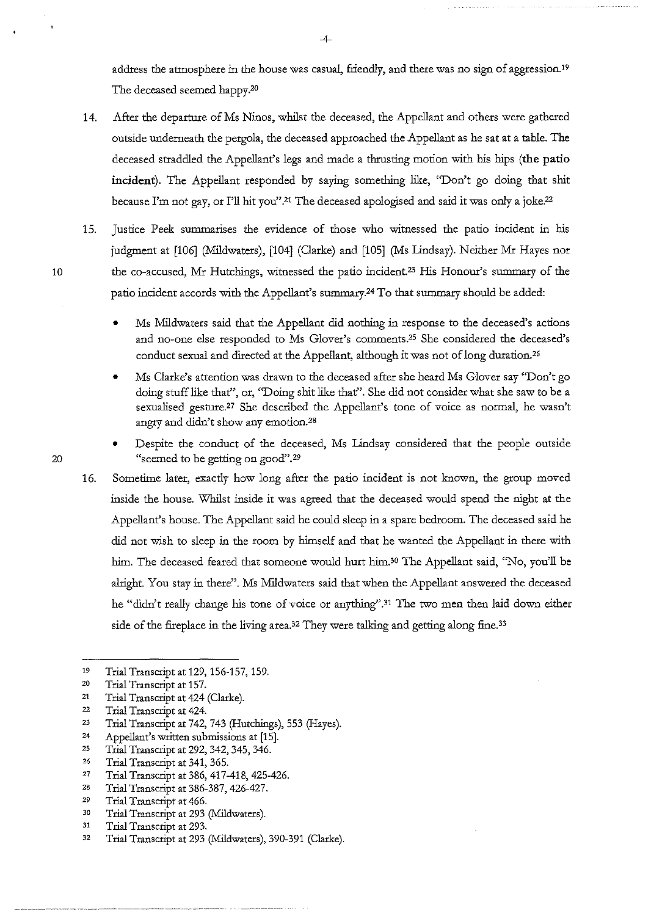address the atmosphere in the house was casual, friendly, and there was no sign of aggression. <sup>19</sup> The deceased seemed happy.20

- 14. After the departure of Ms Ninos, whilst the deceased, the Appellant and others were gathered outside underneath the pergola, the deceased approached the Appellant as he sat at a table. The deceased straddled the Appellant's legs and made a thrusting motion with his hips **(the patio incident).** The Appellant responded by saying something like, "Don't go doing that shit because I'm not gay, or I'll hit you".21 The deceased apologised and said it was only a joke.22
- 15. Justice Peek summarises the evidence of those who witnessed the patio incident in his judgment at [106] (Mildwaters), [104] (Clarke) and [105] (Ms Lindsay). Neither Mr Hayes nor 10 the co-accused, Mr Hutchings, witnessed the patio incident.23 His Honour's summary of the patio incident accords with the Appellant's summary.24 To that summary should be added:
	- Ms Mildwaters said that the Appellant did nothing in response to the deceased's actions and no-one else responded to Ms Glover's comments.25 She considered the deceased's conduct sexual and directed at the Appellant, although it was not of long duration.<sup>26</sup>
	- Ms Clarke's attention was drawn to the deceased after she heard Ms Glover say ''Don't go doing stuff like that", or, "Doing shit like that". She did not consider what she saw to be a sexualised gesture.27 She described the Appellant's tone of voice as normal, he wasn't angry and didn't show any emotion.28
- Despite the conduct of the deceased, Ms Lindsay considered that the people outside 20 "seemed to be getting on good".<sup>29</sup>
	- 16. Sometime later, exactly how long after the patio incident is not known, the group moved inside the house. Whilst inside it was agreed that the deceased would spend the night at the Appellant's house. The Appellant said he could sleep in a spare bedroom. The deceased said he did not wish to sleep in the room by himself and that he wanted the Appellant in there with him. The deceased feared that someone would hurt him.<sup>30</sup> The Appellant said, "No, you'll be alright. You stay in there". Ms Mildwaters said that when the Appellant answered the deceased he "didn't really change his tone of voice or anything".<sup>31</sup> The two men then laid down either side of the fireplace in the living area.<sup>32</sup> They were talking and getting along fine.<sup>33</sup>

-4-

<sup>19</sup>  Trial Transcript at 129, 156-157, 159.

<sup>20</sup>  Trial Transcript at 157.

<sup>21</sup>  Trial Transcript at 424 (Clarke).

<sup>22</sup>  Trial Transcript at 424.

<sup>23</sup>  Trial Transcript at 742, 743 (Hutchings), 553 (Hayes).

<sup>24</sup>  Appellant's written submissions at [15].

<sup>25</sup>  Trial Transcript at 292, 342, 345, 346.

<sup>26</sup>  Trial Transcript at 341, 365.

<sup>27</sup>  Trial Transcript at 386, 417-418, 425-426.

<sup>28</sup>  Trial Transcript at 386-387,426-427.

<sup>29</sup>  Trial Transcript at 466.

<sup>30</sup>  Trial Transcript at 293 (Mildwaters).

<sup>31</sup>  Trial Transcript at 293.

<sup>32</sup>  Trial Transcript at 293 (Mildwaters), 390-391 (Clarke).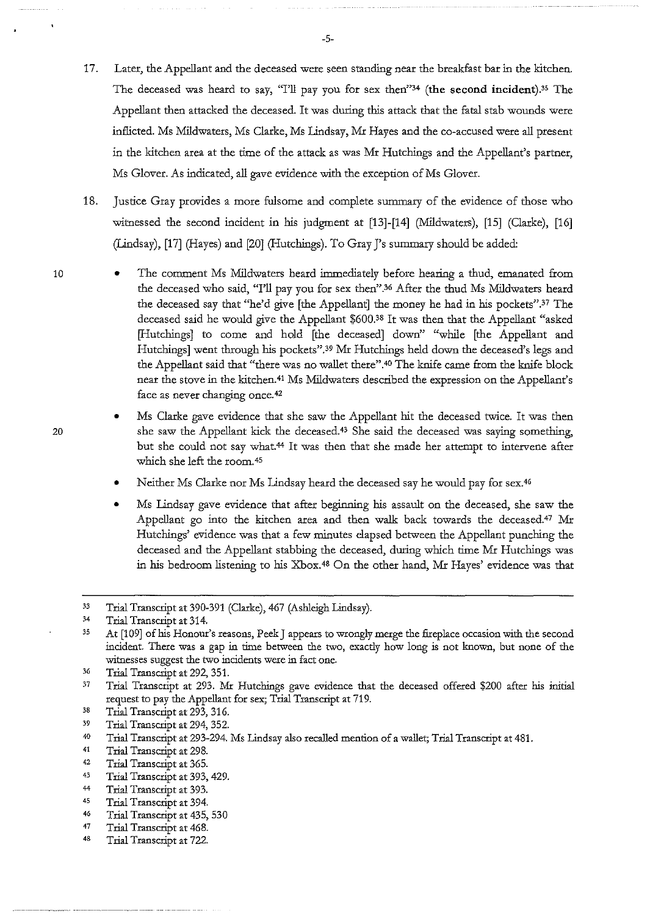- 17. Later, the Appellant and the deceased were seen standing near the breakfast bar in the kitchen. The deceased was heard to say, "I'll pay you for sex then"<sup>34</sup> (the second incident).<sup>35</sup> The Appellant then attacked the deceased. It was during this attack that the fatal stab wounds were inflicted. Ms Mildwaters, Ms Clarke, Ms Lindsay, Mr Hayes and the co-accused were all present in the kitchen area at the time of the attack as was Mr Hutchings and the Appellant's partner, Ms Glover. As indicated, all gave evidence with the exception of Ms Glover.
- 18. Justice Gray provides a more fulsome and complete summaty of the evidence of those who witnessed the second incident in his judgment at [13]-[14] (Mildwaters), [15] (Clarke), [16] (Lindsay), [17] (Hayes) and [20] (Hutchings). To Gray J's summary should be added:
- The comment Ms Mildwaters heard immediately before hearing a thud, emanated from the deceased who said, "I'll pay you for sex then''.36 After the thud Ms Mildwaters heard the deceased say that "he'd *give* [the Appellant] the money he had in his pockets".37 The deceased said he would *give* the Appellant \$600.38 It was then that the Appellant "asked [Hutchings] to come and hold [the deceased] down'' "while [the Appellant and Hutchings] went through his pockets".39 Mr Hutchings held down the deceased's legs and the Appellant said that "there was no wallet there".40 The knife carne from the knife block near the *stove* in the kitchen.41 Ms Mildwaters described the expression on the Appellant's face as never changing once. 42
	- Ms Clarke *gave* evidence that she saw the Appellant hit the deceased twice. It was then she saw the Appellant kick the deceased.43 She said the deceased was saying something, but she could not say what.44 It was then that she made her attempt to intervene after which she left the room. 45
	- Neither Ms Clarke nor Ms Lindsay heard the deceased say he would pay for sex.<sup>46</sup>
	- Ms Lindsay *gave* evidence that after beginning his assault on the deceased, she saw the Appellant go into the kitchen area and then walk back towards the deceased.47 Mr Hutchings' evidence was that a few minutes elapsed between the Appellant punching the deceased and the Appellant stabbing the deceased, during which time Mr Hutchings was in his bedroom listening to his Xbox. 48 On the other hand, Mr Hayes' evidence was that

43 Trial Transcript at 393, 429.

- 46 Trial Transcript at 435, 530
- 47 Trial Transcript at 468.
- 48 Trial Transcript at 722.

-5-

<sup>33</sup>  Trial Transcript at 390-391 (Clarke), 467 (Ashleigh Lindsay).

<sup>34</sup>  Trial Transcript at 314.

<sup>35</sup>  At [1 09] of his Honour's reasons, Peek J appears to wrongly merge the fireplace occasion with the second incident. There was a gap in time between the two, exactly how long is not known, but none of the **witnesses suggest the two incidents were in fact one.** 

<sup>36</sup>  Trial Transcript at 292, 351.

<sup>37</sup>  Trial Transcript at 293. Mr Hutchings gave evidence that the deceased offered \$200 after his initial request to pay the Appellant for sex; Trial Transcript at 719.

<sup>38</sup>  Trial Transcript at 293, 316.

<sup>39</sup>  Trial Transcript at 294, 352.

<sup>40</sup>  Trial Transcript at 293-294. Ms Lindsay also recalled mention of a wallet; Trial Transcript at 481.

<sup>41</sup>  Trial Transcript at 298.

<sup>42</sup>  Trial Transcript at 365.

<sup>44</sup>  Trial Transcript at 393.

<sup>45</sup>  Trial Transcript at 394.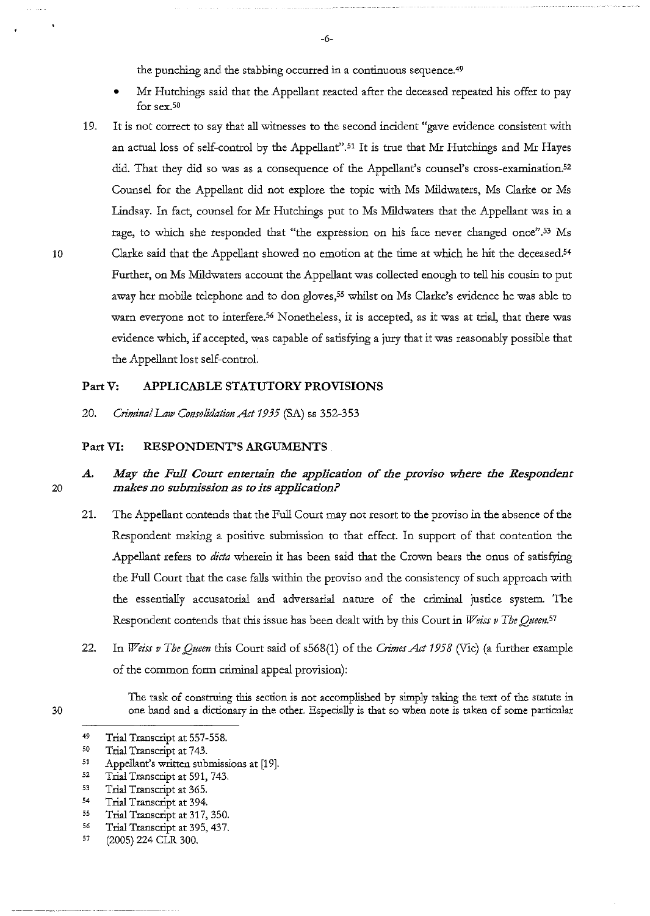the punching and the stabbing occurred in a continuous sequence.<sup>49</sup>

- Mr Hutchings said that the Appellant reacted after the deceased repeated his offer to pay **for sex. so**
- 19. It is not correct to say that all witnesses to the second incident "gave evidence consistent with an actual loss of self-control by the Appellant".51 It is true that Mr Hutchings and Mr Hayes did. That they did so was as a consequence of the Appellant's counsel's cross-examination.<sup>52</sup> Counsel for the Appellant did not explore the topic with Ms Mildwaters, Ms Clarke or Ms Lindsay. In fact, counsel for Mr Hutchings put to Ms Mildwaters that the Appellant was in a rage, to which she responded that "the expression on his face never changed once".<sup>53</sup> Ms 10 Clarke said that the Appellant showed no emotion at the time at which he hit the deceased.<sup>54</sup> Further, on Ms Mildwaters account the Appellant was collected enough to tell his cousin to put away her mobile telephone and to don gloves,<sup>55</sup> whilst on Ms Clarke's evidence he was able to warn everyone not to interfere.<sup>56</sup> Nonetheless, it is accepted, as it was at trial, that there was evidence which, if accepted, was capable of satisfying a jury that it was reasonably possible that the Appellant lost self-control.

### **PartV: APPLICABLE STATUTORY PROVISIONS**

20. *Criminal Law Consolidation Act 1935* (SA) ss 352-353

#### **Part VI: RESPONDENT'S ARGUMENTS**

# *A. May the Full Court entertain the application of the proviso where the Respondent makes no submission as to its application?*

- 21. The Appellant contends that the Full Court may not resort to the proviso in the absence of the Respondent making a positive submission to that effect. In support of that contention the Appellant refers to *dicta* wherein it has been said that the Crown bears the onus of satisfying the Full Court that the case falls within the proviso and the consistency of such approach with the essentially accusatorial and adversarial nature of the crimioal justice system. The Respondent contends that this issue has been dealt with by this Court in *Weiss v The Queen*.<sup>57</sup>
- 22. In *Weiss v The Queen* this Court said of s568(1) of the *Crimes Act 1958* (Vic) (a further example of the common form crimioal appeal provision):

The task of construing this section is not accomplished by simply taking the text of the statute in one hand and a dictionary in the other. Especially is that so when note is taken of some particular

54 Trial Transcript at 394.

- *56*  Trial Transcript at 395, 437.
- 57 (2005) 224 CLR 300.

20

<sup>49</sup>  Trial Transcript at 557-558.

<sup>50</sup>  Trial Transcript at 743.

<sup>51</sup>  Appellant's written submissions at [19].

<sup>52</sup>  Trial Transcript at 591, 743.

<sup>53</sup>  Trial Transcript at 365.

<sup>55</sup>  Trial Transcript at 317, 350.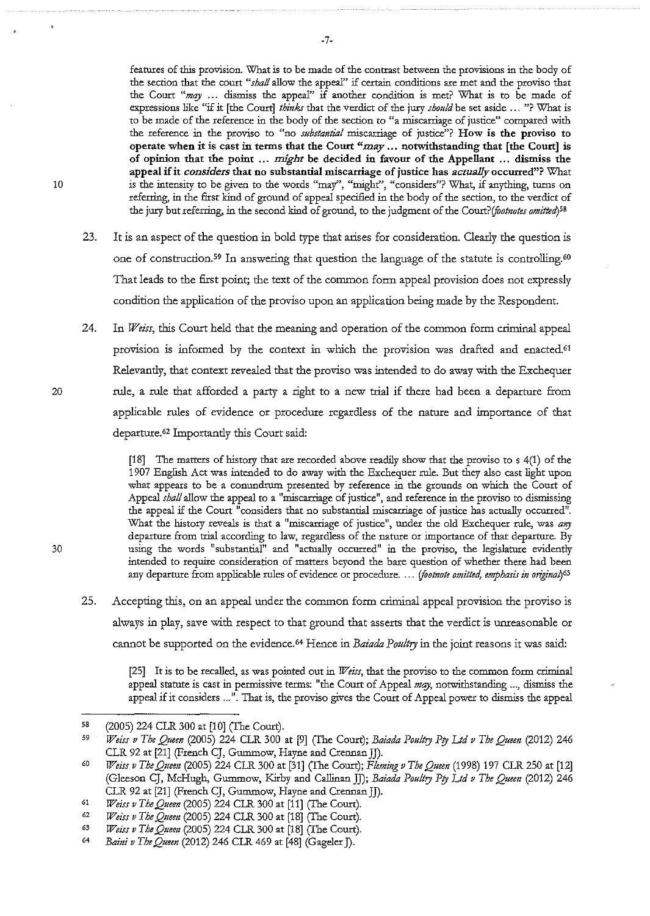features of this provision. What is to be made of the contrast between the provisions in the body of **the section that the court** *"shall* **allow the appear' if certain conditions axe met and the proviso that**  the Court "*may* ... dismiss the appeal" if another condition is met? What is to be made of expressions like "if it [the Court] *thinks* that the verdict of the jury *should* be set aside ... "? What is **to be made of the reference in the body of the section to "a miscarriage of justice" compared with the reference in the proviso to c'no** *substantial* **miscarriage of justice"? How is the proviso to**  operate when it is cast in terms that the Court *"may ...* notwithstanding that [the Court] is of opinion that the point ... *might* be decided in favonr of the Appellant ... dismiss the **appeal if it** *considers* **that no substantial miscarriage of justice has** *actually* **occurred"? What 10 is the intensity to be given to the words "may", "might'', "considers"? What, if anything, turns on**  referriog, in the first kind of ground of appeal specified in the body of the section, to the verdict of the jury but referring, in the second kind of ground, to the judgment of the Court? *(footnotes omitted*)<sup>58</sup>

- 23. It is an aspect of the question in bold type that arises for consideration. Clearly the question is one of construction.<sup>59</sup> In answering that question the language of the statute is controlling.<sup>60</sup> That leads to the first point; the text of the common form appeal provision does not expressly condition the application of the proviso upon an application being made by the Respondent.
- 24. In *Weiss,* this Court held that the meaning and operation of the common form criminal appeal provision is informed by the context in which the provision was drafted and enacted.<sup>61</sup> Relevantly, that context revealed that the proviso was intended to do away with the Exchequer rule, a rule that afforded a party a right to a new trial if there had been a departure from applicable rules of evidence or procedure regardless of the nature and importance of that departure.<sup>62</sup> Importantly this Court said:

[18] The matters of history that are recorded above readily show that the proviso to s 4(1) of the 1907 English Act was intended to do away with the Exchequer rule. But they also cast light upon what appears to be a conundrum presented by reference in the grounds on which the Court of Appeal *shall* allow the appeal to a "miscarriage of justice", and reference in the proviso to dismissing the appeal if the Court "considers that no substantial miscarriage of justice has actually occurred". What the history reveals is that a "miscarriage of justice", under the old Exchequer rule, was *any* departure from trial according to law, regardless of the nature or importance of that departure. By **30 using the words 11 Substantial" and "actually occurred"** *in* **the proviso, the legislature evidently**  intended to require consideration of matters beyond the bare question of whether there had been any departure from applicable rules of evidence or procedure. ... *(footnote omitted, emphasis in original*)<sup>63</sup>

25. Accepting this, on an appeal under the common form criminal appeal provision the proviso is always in play, save with respect to that ground that asserts that the verdict is unreasonable or cannot be supported on the evidence.<sup>64</sup> Hence in *Baiada Poultry* in the joint reasons it was said:

[25] It is to be recalled, as was pointed out in *Weiss,* that the proviso to the common form criminal appeal statute is cast in permissive terms: "the Court of Appeal *mqy,* notwithstanding ... , dismiss the appeal if it considers ... ". That is, the proviso gives the Court of Appeal power to dismiss the appeal

<sup>58</sup>  (2005) 224 CLR. 300 at [10] (The Court).

<sup>59</sup>  *Weiss v The Queen* (2005) 224 CLR 300 at [9] (The Court); *Baiada Poultry Pty Ltd v The Q11een* (2012) 246 CLR 92 at [21] (French CJ, Gummow, Hayne and Crennan JJ).

<sup>60</sup>  *Weiss v The Quee11* (2005) 224 CLR. 300 at [31] (The Court); *Fleming v The Q11een* (1998) 197 CLR. 250 at [12] (Gleeson CJ, McHugh, Gummow, Kirby and Callioan JJ); *Baiada Poultry Pty Ltd v The Quem* (2012) 246 CLR 92 at [21] (French CJ, Gummow, Hayne and Crennan JJ).

<sup>61</sup>  *Weiss vTheQ11een* (2005) 224 CLR. 300 at [11] (The Court).

<sup>62</sup>  *Weiss v The Queen* (2005) 224 CLR. 300 at [18] (The Court).

<sup>63</sup>  *Weiss v The Q11em* (2005) 224 CLR. 300 at [18] (The Court).

<sup>64</sup>  *Baini v The Q11een* (2012) 246 CLR. 469 at [48] (Gageler *]).*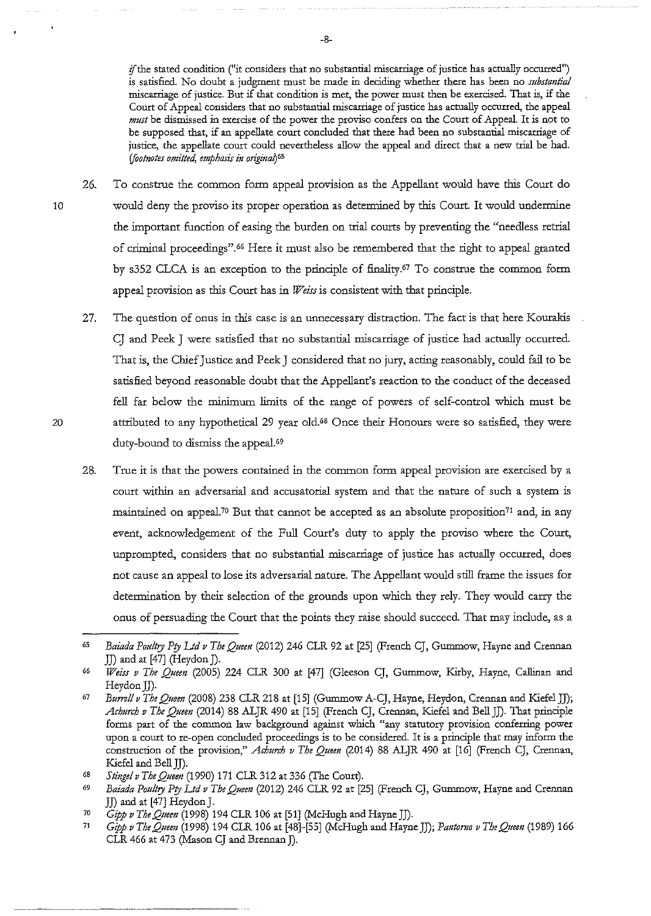**if the stated condition ( 11it considers that no substantial miscarriage of justice has actually occurred")**  *is* satisfied. No doubt a judgment must be made in deciding whether there has been no *substantial*  miscarriage of justice. But if that condition is met, the power must then be exercised. That is, if the Court of Appeal considers that no substantial miscarriage of justice has actually occurred, the appeal *must* be dismissed in exercise of the power the proviso confers on the Court of Appeal. It is not to be supposed that, if an appellate court concluded that there had been no substantial miscarriage of justice, the appellate court could nevertheless allow the appeal and direct that a new trial be had. *(footnotes omitted, emphasis in original*)<sup>65</sup>

- 26. To construe the common form appeal provision as the Appellant would have this Court do 10 would deny the proviso its proper operation as determined by this Court. It would undermine the important function of easing the burden on trial courts by preventing the "needless retrial of criminal proceedings".66 Here it must also be remembered that the rigbt to appeal granted by s352 CLCA is an exception to the principle of finality. 67 To construe the common form appeal provision as this Court has in *Weiss* is consistent with that principle.
	- 27. The question of onus in this case is an unnecessary distraction. The fact is that here Kourakis CJ and Peek J were satisfied that no substantial miscarriage of justice had actually occurred. That is, the Chief Justice and Peek J considered that no jury, acting reasonably, could fail to be satisfied beyond reasonable doubt that the Appellant's reaction to the conduct of the deceased fell far below the minimum limits of the range of powers of self-control which must be attributed to any hypothetical 29 year old.68 Once their Honours were so satisfied, they were duty-bound to dismiss the appeal.69
	- 28. True it is that the powers contained in the common form appeal provision are exercised by a court within an adversarial and accusatorial system and that the nature of such a system is maintained on appeal.<sup>70</sup> But that cannot be accepted as an absolute proposition<sup>71</sup> and, in any event, acknowledgement of the Full Court's duty to apply the proviso where the Court, unprompted, considers that no substantial miscarriage of justice has actually occurred, does not cause an appeal to lose its adversarial nature. The Appellant would still frame the issues for determination by their selection of the grounds upon which they rely. They would carry the onus of persuading the Court that the points they raise should succeed. That may include, as a

<sup>&</sup>lt;sup>65</sup> Baiada Poultry Pty Ltd v The Oueen (2012) 246 CLR 92 at [25] (French CJ, Gummow, Hayne and Crennan JJ) and at [47] (Heydon]).

*<sup>66</sup> Weiss v The Queen* (2005) 224 CLR 300 at [47] (Gleeson CJ, Gummow, Kirby, Hayne, Callinan and Heydon JI).

<sup>67</sup>*Bum!! v The Queen* (2008) 238 CLR 218 at [15] (Gummow A-CJ, Hayne, Heydon, Crennan and Kiefel JJ); *Achurch v The Queen* (2014) 88 ALJR 490 at [15] (French CJ, Crennan, Kiefel and Bell J]). That principle forms part of the common law background against which "any statutory provision conferring power upon a court to re-open concluded proceedings is to be considered. It is a principle that may inform the construction of the provision," *Achurch v The Oueen* (2014) 88 ALJR 490 at [16] (French CJ, Crennan, Kiefel and Bell JJ).

<sup>68</sup>*Sti1tgel v The Queen* (1990) 171 CLR 312 at 336 (The Court).

<sup>69</sup>*Baiada Poultry Pry Ltd v The Queen* (2012) 246 CLR 92 at [25] (French CJ, Gummow, Hayne and Crennan JJ) and at [47] Heydon J. 70 *Gipp v The Queen* (1998) 194 CLR 106 at [51] (McHugh and Hayne]]).

<sup>11</sup>*Gipp v The Queen* (1998) 194 CLR 106 at [48]-[55] (McHugh and Hayne J]); *Pantomo v The Queen* (1989) 166 CLR 466 at 473 (Mason CJ and Brennan J).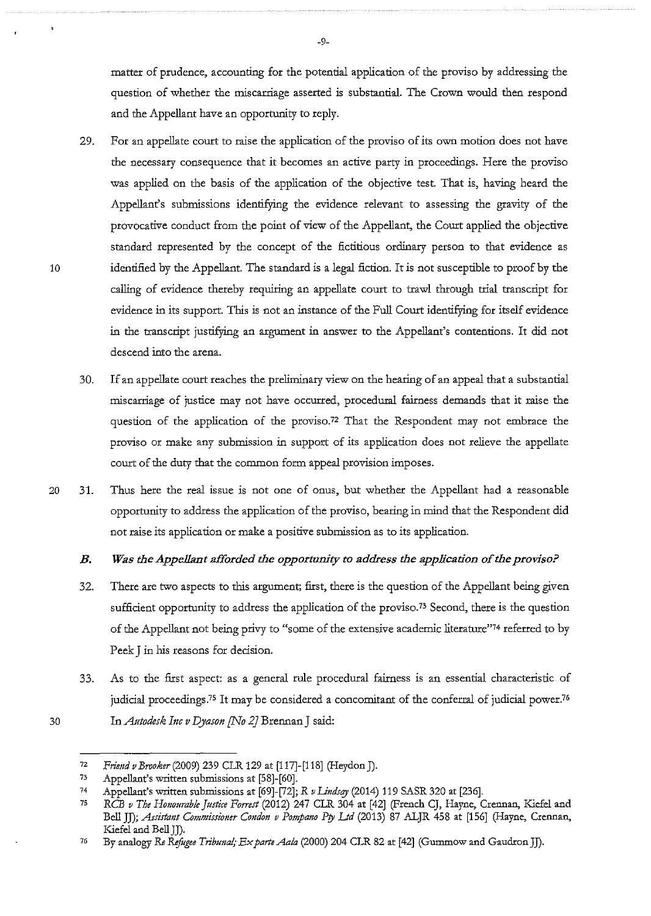matter of prudence, accounting for the potential application of the proviso by addressing the question of whether the miscarriage asserted is substantial. The Crown would then respond and the Appellant have an opportunity to reply.

- 29. For an appellate court to raise the application of the proviso of its own motion does not have the necessary consequence that it becomes an active party in proceedings. Here the proviso was applied on the basis of the application of the objective test. That is, having heard the Appellant's submissions identifying the evidence relevant to assessing the gravity of the provocative conduct from the point of view of the Appellant, the Court applied the objective standard represented by the concept of the fictitious ordinary person to that evidence as identified by the Appellant. The standard is a legal fiction. It is not susceptible to proof by the calling of evidence thereby requiring an appellate court to trawl through trial transcript for evidence in its support. This is not an instance of the Full Court identifying for itself evidence in the transcript justifying an argument in answer to the Appellant's contentions. It did not descend into the arena.
- 30. If an appellate court reaches the preliminary view on the hearing of an appeal that a substantial miscarriage of justice may not have occurred, procedural fairness demands that it raise the question of the application of the proviso.72 That the Respondent may not embrace the proviso or make any submission in support of its application does not relieve the appellate court of the duty that the common form appeal provision imposes.
- 20 31. Thus here the real issue is not one of onus, but whether the Appellant had a reasonable opportunity to address the application of the proviso, bearing in mind that the Respondent did not raise its application or make a positive submission as to its application.

# *B. Was the Appellant afforded the opportunity to address the application of the proviso?*

- 32. There are two aspects to this argument; first, there is the question of the Appellant being given sufficient opportunity to address the application of the proviso.<sup>73</sup> Second, there is the question of the Appellant not being privy to "some of the extensive academic literature"74 referred to by Peek J in his reasons for decision.
- 33. As to the first aspect: as a general rule procedural fairness is an essential characteristic of judicial proceedings.<sup>75</sup> It may be considered a concomitant of the conferral of judicial power.<sup>76</sup> 30 In *Autodesk Inc v Dyason [No 2)* Brennan J said:

<sup>72</sup>*Friend v Brooker* (2009) 239 CLR. 129 at [117]-[118] (Heydon J).

<sup>73</sup> Appellant's written submissions at [58]-[60].

<sup>74</sup> Appellant's written submissions at [69]-[72]; R *v I.indsqy* (2014) 119 SASR 320 at [236].

<sup>75</sup>*RCB v The Honourable Justice Fomst* (2012) 247 CLR. 304 at [42] (French CJ, Hayne, Crenuan, Kiefel and Bell JJ); *Assistant Commissioner Condon v Pompano Pty Ltd* (2013) 87 ALJR 458 at [156] (Hayne, Crennan, Kiefel and Bell J].

<sup>76</sup> By analogy *Re Refugee Tribunal,· ExparteAah* (2000) 204 CLR. 82 at [42] (Gummow and GaudronJJ).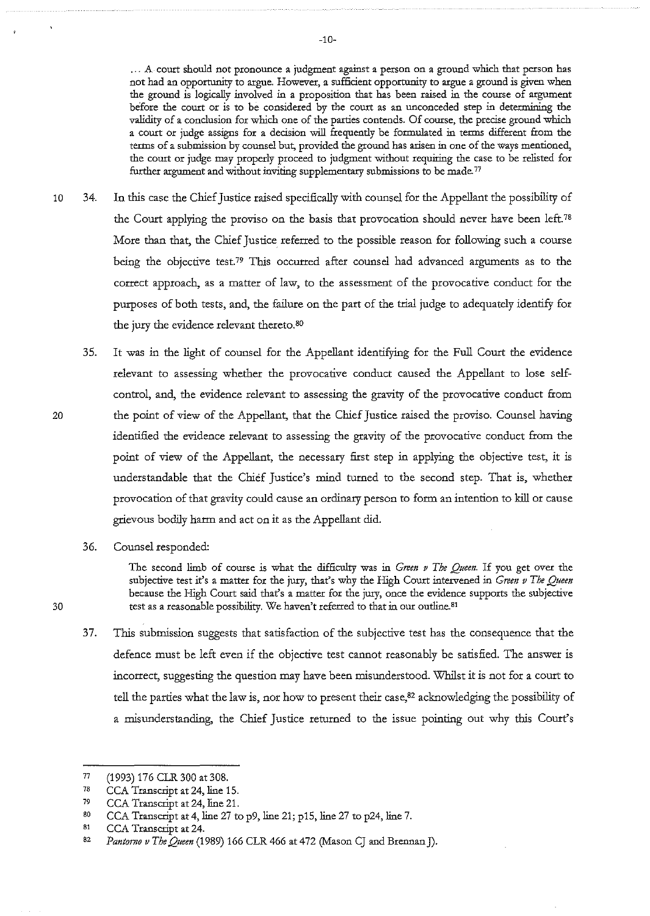... A court should not pronounce a judgment against a person on a ground which that person has not had an opportunity to argue. However, a sufficient opportunity to argue a ground *is* given when the ground *is* logically involved in a proposition that has been raised in the course of argument before the court or is to be considered by the court as an unconceded step in determining the validity of a conclusion for which one of the parties contends. Of course, the precise ground which a court or judge assigns for a decision will frequently be formulated in terms different from the terms of a submission by counsel but, provided the ground has arisen in one of the ways mentioned, the court or judge may properly proceed to judgment without requiting the case to be relisted for further argument and without inviting supplementary submissions to be made. 77

- 10 34. In this case the Chief Justice raised specifically with counsel for the Appellant the possibility of the Court applying the proviso on the basis that provocation should never have been left.<sup>78</sup> More than that, the Chief Justice referred to the possible reason for following such a course being the objective test.<sup>79</sup> This occurred after counsel had advanced arguments as to the correct approach, as a matter of law, to the assessment of the provocative conduct for the purposes of both tests, and, the failure on the part of the trial judge to adequately identify for the jury the evidence relevant thereto.<sup>80</sup>
	- 35. It was in the light of counsel for the Appellant identifying for the Full Court the evidence relevant to assessing whether the provocative conduct caused the Appellant to lose selfcontrol, and, the evidence relevant to assessing the gravity of the provocative conduct from the point of view of the Appellant, that the Chief Justice raised the proviso. Counsel having identified the evidence relevant to assessing the gravity of the provocative conduct from the point of view of the Appellant, the necessary first step in applying the objective test, it is understandable that the Chief Justice's mind turned to the second step. That is, whether provocation of that gravity could cause an ordinary person to form an intention to kill or cause grievous bodily harm and act on it as the Appellant did.
	- 36. Counsel responded:

The second limb of course *is* what the difficulty was in *Green v The Queen.* If you get over the subjective test it's a matter for the jury, that's why the High Court intervened in *Green v The Queen* because the High Courr said that's a matter for the jury, once the evidence supports the subjective 30 test as a reasonable possibility. We haven't referred to that in our outline. 81

37. This submission suggests that satisfaction of the subjective test has the consequence that the defence must be left even if the objective test cannot reasonably be satisfied. The answer is incorrect, suggesting the question may have been misunderstood. Whilst it is not for a court to tell the parties what the law is, nor how to present their case, $82$  acknowledging the possibility of a misunderstanding, the Chief Justice returned to the issue pointing out why this Court's

<sup>77</sup>  (1993) 176 CLR 300 at 308.

<sup>78</sup>  CCA Transcript at 24, line 15.

<sup>79</sup>  CCA Transcript at 24, line 21.

so CCA Transcript at 4, line 27 to p9, line 21; p15, line 27 to p24, line 7.

<sup>81</sup>  CCA Transcript at 24.

<sup>82</sup>  *Pantorno v The Queen* (1989) 166 CLR 466 at 472 (Mason CJ and Brennan J).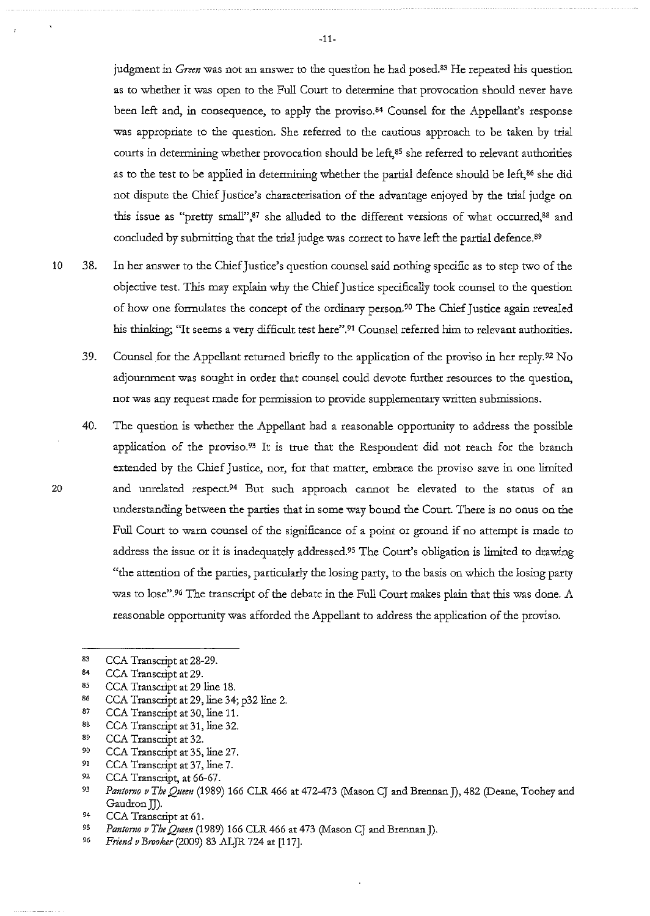judgment in *Green* was not an answer to the question he had posed.<sup>83</sup> He repeated his question as to whether it was open to the Full Court to determine that provocation should never have been left and, in consequence, to apply the proviso.<sup>84</sup> Counsel for the Appellant's response was appropriate to the question. She referred to the cautious approach to be taken by trial courts in determining whether provocation should be left,<sup>85</sup> she referred to relevant authorities as to the test to be applied in determining whether the partial defence should be left, 86 she did not dispute the Chief Justice's characterisation of the advantage enjoyed by the trial judge on this issue as "pretty small",<sup>87</sup> she alluded to the different versions of what occurred,<sup>88</sup> and concluded by submitting that the trial judge was correct to have left the partial defence.<sup>89</sup>

- 10 38. In her answer to the Chief Justice's question counsel said nothing specific as to step two of the objective test. This may explain why the Chief Justice specifically took counsel to the question of how one formulates the concept of the ordinary person.90 The Chief Justice again revealed his thinking; "It seems a very difficult test here".<sup>91</sup> Counsel referred him to relevant authorities.
	- 39. Counsel for the Appellant returned briefly to the application of the proviso in her reply.92 No adjournment was sought in order that counsel could devote further resources to the question, nor was any request made for permission to provide supplementary written submissions.
	- 40. The question is whether the Appellant had a reasonable opportunity to address the possible application of the proviso.<sup>93</sup> It is true that the Respondent did not reach for the branch extended by the Chief Justice, nor, for that matter, embrace the proviso save in one limited and unrelated respect.<sup>94</sup> But such approach cannot be elevated to the status of an understanding between the parties that in some way bound the Court. There is no onus on the Full Court to warn counsel of the significance of a point or ground if no attempt is made to address the issue or it is inadequately addressed.95 The Court's obligation is limited to drawing "the attention of the parties, particularly the losing party, to the basis on which the losing party was to lose".<sup>96</sup> The transcript of the debate in the Full Court makes plain that this was done. A reasonable opportunity was afforded the Appellant to address the application of the proviso.
	- 83 CCA Transcript at 28-29.
	- 84 CCA Transcript at 29.
	- 85 CCA Transcript at 29 line 18.
	- 86 CCA Transcript at 29, line 34; p32 line 2.
	- 87 CCA Transcript at 30, line 11.
	- 88 CCA Transcript at 31, line 32.
	- 89 CCA Transcript at 32.
	- 90 CCA Transcript at 35, line 27.
	- 91 CCA Transcript at 37, line 7.
	- 92 CCA Transcript, at 66-67.
	- 93 Pantorno v The Queen (1989) 166 CLR 466 at 472-473 (Mason CJ and Brennan J), 482 (Deane, Toohey and Gaudron JJ).
	- 94 CCA Transcript at 61.
	- 95 *Pantorno v The Queen* (1989) 166 CLR 466 at 473 (Mason CJ and Brennan J).
	- 96 *Friend v Brooker* (2009) 83 ALJR 724 at [117].

-11-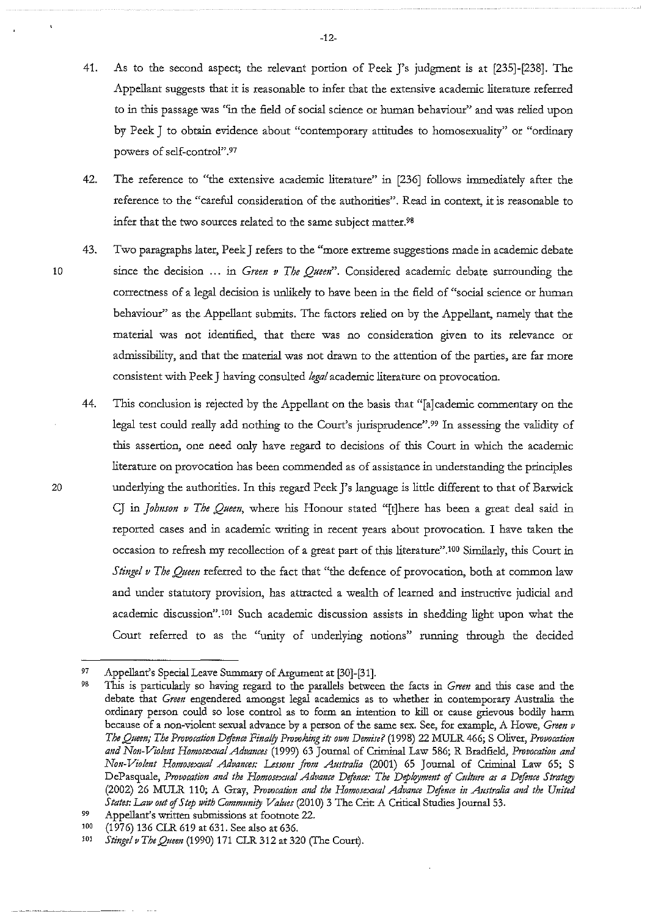- 41. As to the second aspect; the relevant portion of Peek J's judgment is at [235]-[238]. The Appellant suggests that it is reasonable to infer that the extensive academic literature referred to in this passage was "in the field of social science or human behaviour" and was relied upon by Peek J to obtain evidence about "contemporary attitudes to homosexuality" or "ordinary powers of self-control".97
- 42. The reference to "the extensive academic literature" in [236] follows immediately after the reference to the "careful consideration of the authorities". Read in context, it is reasonable to infer that the two sources related to the same subject matter.9B
- 43. Two paragraphs later, Peek J refers to the "more extreme suggestions made in academic debate 10 since the decision ... in *Green v The Quem".* Considered academic debate surrounding the correctness of a legal decision is unlikely to have been in the field of "social science or human behaviour'' as the Appellant submits. The factors relied on by the Appellant, namely that the material was not identified, that there was no consideration given to its relevance or admissibility, and that the material was not drawn to the attention of the parties, are far more consistent with Peek J having consulted *legal* academic literature on provocation.
	- 44. This conclusion is rejected by the Appellant on the basis that "[a]cademic commentary on the legal test could really add nothing to the Court's jurisprudence".<sup>99</sup> In assessing the validity of this assertion, one need only have regard to decisions of this Court in which the academic literature on provocation has been commended as of assistance in understanding the principles underlying the authorities. In this regard Peek J's language is little different to that of Barwick CJ in *Johnson v The Queen,* where his Honour stated "[t]here has been a great deal said in reported cases and in academic writing in recent years about provocation. I have taken the occasion to refresh my recollection of a great part of this literature".<sup>100</sup> Similarly, this Court in *Stingel v The Queen* referred to the fact that "the defence of provocation, both at common law and under statutory provision, has attracted a wealth of learned and instructive judicial and academic discussion".<sup>101</sup> Such academic discussion assists in shedding light upon what the Court referred to as the "unity of underlying notions" running through the decided

100 (1976) 136 CLR 619 at 631. See also at 636.

20

-12-

<sup>97</sup>  Appellant's Special Leave Summary of Argument at [30]-[31].

<sup>98</sup>  1bis is particularly so having regard to the parallels between the facts in *Green* and this case and the debate that *Green* engendered amongst legal academics as to whether in contemporary Australia the ordinary person could so lose control as to form an intention to kill or cause grievous bodily harm **because of a non-violent sexual advance by a person of the same sex. See, for example, A Howe,** *Green v The Queen; The Provocation Defence Finally Provoking its own Demise?* (1998) 22 MULR 466; S Oliver, *Provocation and Non-Violent Homosexual Advances* (1999) 63 Journal of Criminal Law 586; R Bradfield, *Provocation and Non-Violmt Homosexual Advances: Lessons from Australia* (2001) 65 Journal of Criminal Law 65; S DePasquale, *Provocation and the Homosexual Advance Defence: The Deployment of Culture as a Defence Strategy* (2002) 26 MULR 110; A Gray, Provocation and the Homosexual Advance Defence in Australia and the United *States: Law out* of *Stp with Community Values* (2010) 3 The Crit A Critical Studies Journal 53.

<sup>99</sup>  Appellant's written submissions at footnote 22.

<sup>101</sup>  *Stinge!vTheQueen* (1990) 171 CLR312at320 (The Court).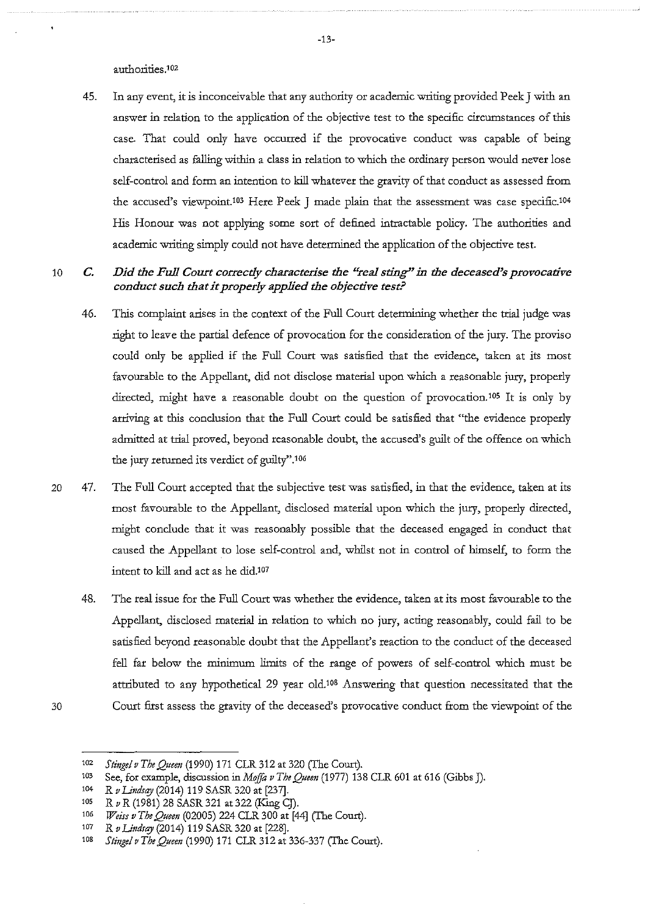authorities.<sup>102</sup>

45. In any event, it is inconceivable that any authority or academic writing provided Peek J with an answer in relation to the application of the objective test to the specific circumstances of this case. That could only have occurred if the provocative conduct was capable of being characterised as falling within a class in relation to which the ordinary person would never lose self-control and form an intention to kill whatever the gravity of that conduct as assessed from the accused's viewpoint.'03 Here Peek J made plain that the assessment was case specific.104 His Honour was not applying some sort of defined intractable policy. The authorities and academic writing simply could not have determined the application of the objective test.

# 10 *C. Did the Full Court correctly characterise the "real sting" in the deceased's provocative conduct such that it properly applied the objective test?*

- 46. This complaint arises in the context of the Full Court determining whether the trial judge was right to leave the partial defence of provocation for the consideration of the jury. The proviso could only be applied if the Full Court was satisfied that the evidence, taken at its most favourable to the Appellant, did not disclose material upon which a reasonable jury, properly directed, might have a reasonable doubt on the question of provocation.105 It is only by arriving at this conclusion that the Full Court could be satisfied that "the evidence properly admitted at trial proved, beyond reasonable doubt, the accused's guilt of the offence on which the jury returned its verdict of guilty".106
- 20 47. The Full Court accepted that the subjective test was satisfied, in that the evidence, taken at its most favourable to the Appellant, disclosed material upon which the jury, properly directed, might conclude that it was reasonably possible that the deceased engaged in conduct that caused the Appellant to lose self-control and, whilst not in control of himself, to form the intent to kill and act as he did.<sup>107</sup>
- 48. The real issue for the Full Court was whether the evidence, taken at its most favourable to the Appellant, disclosed material in relation to which no jury, acting reasonably, could fail to be satisfied beyond reasonable doubt that the Appellant's reaction to the conduct of the deceased fell far below the minimum limits of the range of powers of self-control which must be attributed to any hypothetical 29 year old.<sup>108</sup> Answering that question necessitated that the 30 Comt first assess the gravity of the deceased's provocative conduct from the viewpoint of the
- 

<sup>102</sup>*Stingel v The Quem* (1990) 171 CLR. 312 at 320 (The Court).

<sup>103</sup> See, for example, discussion in *Moffa v The Queen* (1977) 138 CLR 601 at 616 (Gibbs J).

<sup>104</sup> R v Lindsay (2014) 119 SASR 320 at [237].

<sup>10</sup>s *R v R* (1981) 28 SASR 321 at322 (King CJ).

<sup>106</sup>*Weiss v The Queen* (02005) 224 CLR 300 at [44] (The Court).

*<sup>1</sup>o1 R v Linds®'* (2014) 119 SASR 320 at [228].

<sup>10</sup>s *Stinge!vTheQueen* (1990) 171 CLR 312 at 336-337 (The Court).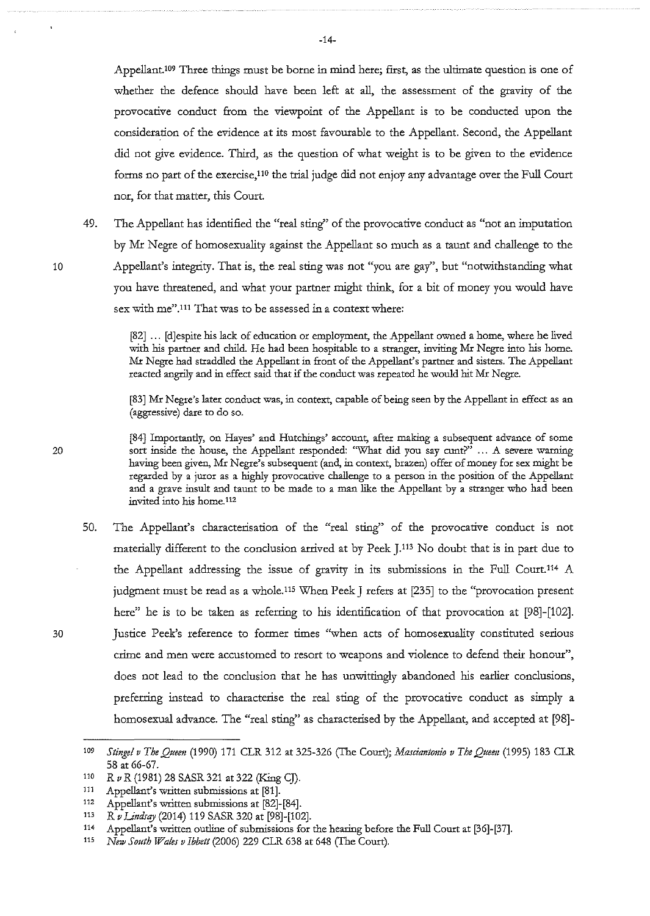Appellant.109 Three things must be borne in mind here; first, as the ultimate question is one of whether the defence should have been left at all, the assessment of the gravity of the provocative conduct from the viewpoint of the Appellant is to be conducted upon the consideration of the evidence at its most favourable to the Appellant. Second, the Appellant did not give evidence. Third, as the question of what weight is to be given to the evidence forms no part of the exercise,11o the trial judge did not enjoy any advantage over the Full Court nor, for that matter, this Court

49. The Appellant has identified the "real sting'' of the provocative conduct as "not an imputation by Mr Negre of homosexuality against the Appellant so much as a taunt and challenge to the Appellant's integrity. That is, the real sting was not "you are gay", but "notwithstanding what you have threatened, and what your partner might think, for a bit of money you would have sex with me".111 That was to be assessed in a context where:

[82] ... [d]espite his lack of education or employment, the Appellant owned a home, where he lived with his partner and child. He had been hospitable to a stranger, inviting Mr Negre into his home. Mr Negre had straddled the Appellant in front of the Appellant's partner and sisters. The Appellant reacted angrily and in effect said that if the conduct was repeated he would hit Mr Negre.

[83] Mr Negre's later conduct was, in context, capable of being seen by the Appellant in effect as an (aggressive) dare to do so.

[84] Importandy, on Hayes' and Hutchings' account, after making a subsequent advance of some 20 sort inside the house, the Appellant responded: "What did you say cunt?" ... A severe warning having been given, Mr Negre's subsequent (and, in context, brazen) offer of money for sex might be regarded by a juror as a highly provocative challenge to a person in the position of the Appellant and a grave insult and taunt to be made to a man like the Appellant by a stranger who had been **invited into his home.112** 

50. The Appellant's characterisation of the "real sting'' of the provocative conduct is not materially different to the conclusion arrived at by Peek J.<sup>113</sup> No doubt that is in part due to the Appellant addressing the issue of gravity in its submissions in the Full Court.114 A judgment must be read as a whole.<sup>115</sup> When Peek J refers at [235] to the "provocation present here" he is to be taken as referring to his identification of that provocation at [98]-[102]. 30 Justice Peek's reference to former times "when acts of homosexuality constituted serious crime and men were accustomed to resort to weapons and violence to defend their honour", does not lead to the conclusion that he has unwittingly abandoned his earlier conclusions, preferring instead to characterise the real sting of the provocative conduct as simply a homosexual advance. The "real sting" as characterised by the Appellant, and accepted at [98]-

<sup>109</sup>  *Stingel v The Quem* (1990) 171 CLR 312 at 325-326 (The Court); *Masciantonio v The Quem* (1995) 183 CLR 58 at 66-67.

<sup>110</sup>  *R v R* (1981) 28 SASR 321 at 322 (King CJ).

<sup>111</sup>  Appellant's written submissions at [81].

<sup>112</sup>  Appellant's written submissions at [82]-[84].

<sup>113</sup>  *R v Limirqy* (2014) 119 SASR 320 at [98]-[102].

<sup>114</sup> Appellant's written outline of submissions for the hearing before the Full Court at [36]-[37].

<sup>115</sup> *New South Wales v Ibbett* (2006) 229 CLR 638 at 648 (The Court).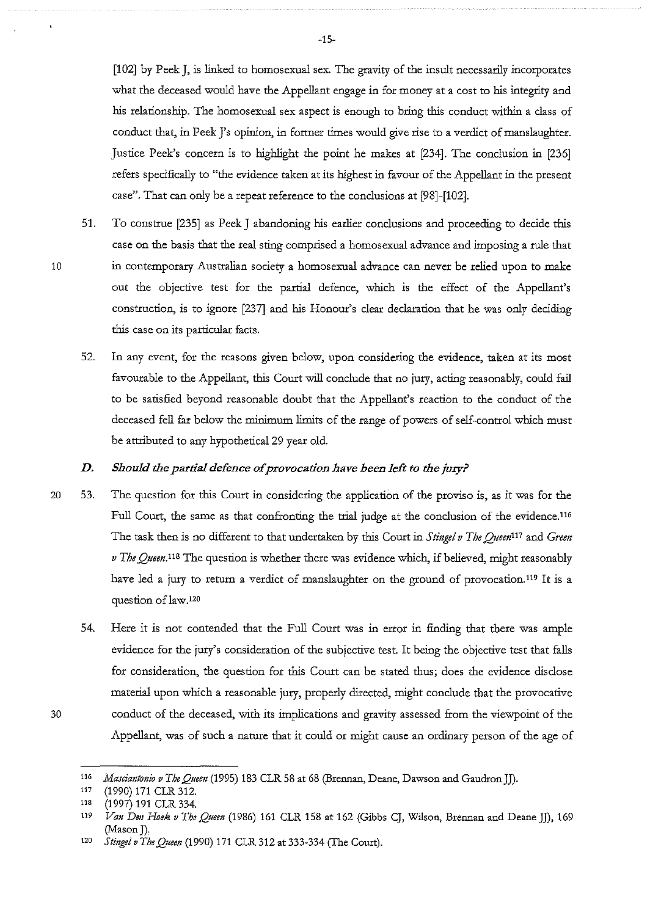[102] by Peek J, is linked to homosexual sex. The gravity of the insult necessarily incorporates what the deceased would have the Appellant engage in for money at a cost to his integrity and his relationship. The homosexual sex aspect is enough to bring tbis conduct witbin a class of conduct that, in Peek J's opinion, in former times would give rise to a verdict of manslaughter. Justice Peek's concern is to highlight tbe point he makes at [234]. The conclusion in [236] refers specifically to "tbe evidence taken at its highest in favour of tbe Appellant in tbe present case". That can only be a repeat reference to the conclusions at [98]-[102].

- 51. To construe [235] as Peek J abandoning his earlier conclusions and proceeding to decide tbis case on tbe basis that tbe real sting comprised a homosexual advance and imposing a rule that in contemporary Australian society a homosexual advance can never be relied upon to make out tbe objective test for tbe partial defence, which is tbe effect of tbe Appellant's construction, is to ignore [237] and his Honour's clear declaration tbat he was only deciding tbis case on its particular facts.
- 52. In any event, for tbe reasons given below, upon considering tbe evidence, taken at its most favourable to the Appellant, this Court will conclude that no jury, acting reasonably, could fail to be satisfied beyond reasonable doubt that the Appellant's reaction to the conduct of the deceased fell far below the minimum limits of the range of powers of self-control which must be attributed to any hypothetical 29 year old.

## *D.* Should the partial defence of provocation have been left to the jury?

- 20 53. The question for this Court in considering the application of the proviso is, as it was for the Full Court, the same as that confronting the trial judge at the conclusion of the evidence.<sup>116</sup> The task then is no different to that undertaken by this Court in *Stingel v The Queen*<sup>117</sup> and *Green v The Quem.11B* The question is whether tbere was evidence which, if believed, might reasonably have led a jury to return a verdict of manslaughter on the ground of provocation.<sup>119</sup> It is a question of law.<sup>120</sup>
	- 54. Here it is not contended that the Full Court was in error in finding that there was ample evidence for the jury's consideration of the subjective test. It being the objective test that falls for consideration, the question for this Court can be stated thus; does the evidence disclose material upon which a reasonable jury, properly directed, might conclude that the provocative conduct of the deceased, with its implications and gravity assessed from the viewpoint of the Appellant, was of such a nature that it could or might cause an ordinary person of the age of

10

<sup>116</sup>*Masciantonio v The Queen* (1995) 183 CLR 58 at 68 (Brennan, Deane, Dawson and GaudronJJ).

<sup>117 (1990) 171</sup> CLR 312.

<sup>118</sup>  (1997) 191 CLR 334.

<sup>119</sup>  *Van Dm Hoek v The Q;teen* (1986) 161 CLR 158 at 162 (Gibbs CJ, Wilson, Brennan and Deane JJ), 169 (Mason]),

<sup>120</sup>  Stingel v The Queen (1990) 171 CLR 312 at 333-334 (The Court).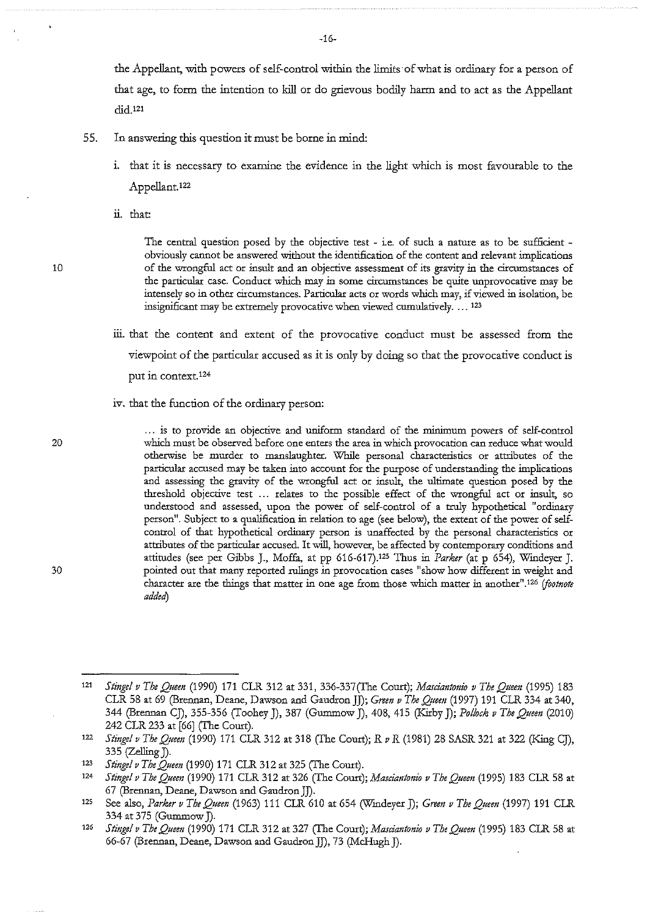the Appellant, with powers of self-control within the limits of what is ordinary for a person of that age, to form the intention to kill or do grievous bodily harm and to act as the Appellant did.121

- 55. In answering this question it must be borne in mind:
	- 1. that it is necessary to examine the evidence in the light which is most favourable to the Appellant.122
	- ii. that

10

The central question posed by the objective test - i.e. of such a nature as to be sufficient obviously cannot be answered without the identification of the content and relevant implications **of the wrongful act or insult and an objective assessment of its gravity in the circumstances of the particular case. Conduct which may in some circumstances be quite unprovocative may be intensely so in other circumstances. Particular acts or words which may, if viewed in isolation, be**  insignificant may be extremely provocative when viewed cumulatively .... 123

- iii. that the content and extent of the provocative conduct must be assessed from the viewpoint of the particular accused as it is only by doing so that the provocative conduct is put in context.124
- iv. that the function of the ordinary person:

20

30

... is to provide an objective and uniform standard of the minimum powers of self-control **which must be observed before one enters the area in which provocation can reduce what would otherwise be murder to manslaughter. While personal characteristics or attributes of the**  particular accused may be taken into account for the purpose of understanding the implications and assessing the gravity of the wrongful act or insult, the ultimate question posed by the threshold objective test ... relates to the possible effect of the wrongful act or insult, so understood and assessed, upon the power of self-control of a truly hypothetical "ordinary person". Subject to a qualification in relation to age (see below), the extent of the power of selfcontrol of that hypothetical ordinary person is unaffected by the personal characteristics or attributes of the particular accused. It will, however, be affected by contemporary conditions and attitudes (see per Gibbs J., Moffa, at pp 616-617).125 Thus in *Parker* (at p 654), Windeyer]. pointed out that many reported rulings in provocation cases "show how different in weight and character are the things that matter in one age from those which matter in another<sup>11,126</sup> (footnote *added)* 

-16-

<sup>121</sup>  *Stinge! v The Queen* (1990) 171 CLR 312 at 331, 336-337(The Court); *Masciantonio v The Queen* (1995) 183 CLR 58 at 69 (Brennan, Deane, Dawson and GaudronJJ); *Grem v The Quem* (1997) 191 ClR. 334 at 340, 344 (Brennan CJ), 355-356 (Toohey J), 387 (Gummow *]),* 408, 415 (Kirby J); *Po!hck v The Queen* (2010) 242 CLR 233 at [66] (The Court).

<sup>122</sup>  *Stinge! v The Queen* (1990) 171 ClR. 312 at 318 (The Court); R *v* R (1981) 28 SASR 321 at 322 (King CJ), 335 (Zelling J).

<sup>123</sup>  *Stinge! v The Queen* (1990) 171 ClR. 312 at 325 (The Court).

<sup>124</sup>  *Stinge! v The Quem* (1990) 171 ClR. 312 at 326 (The Court); *Mascimztonw v The Queen* (1995) 183 ClR. 58 at 67 (Brennan, Deane, Dawson and Gaudron JJ).

<sup>125</sup>  See also, *Parker v The Queen* (1963) 111 ClR. 610 at 654 (Wmdeyer J); *Grem v The Queen* (1997) 191 ClR. 334 at 375 (Gummow *]).* 

<sup>126</sup>  *Stingel v The Queen* (1990) 171 CLR 312 at 327 (The Court); *Masciantonio v The Queen* (1995) 183 CLR 58 at 66-67 (Brennan, Deane, Dawson and Gaudron JJ), 73 (McHugh J).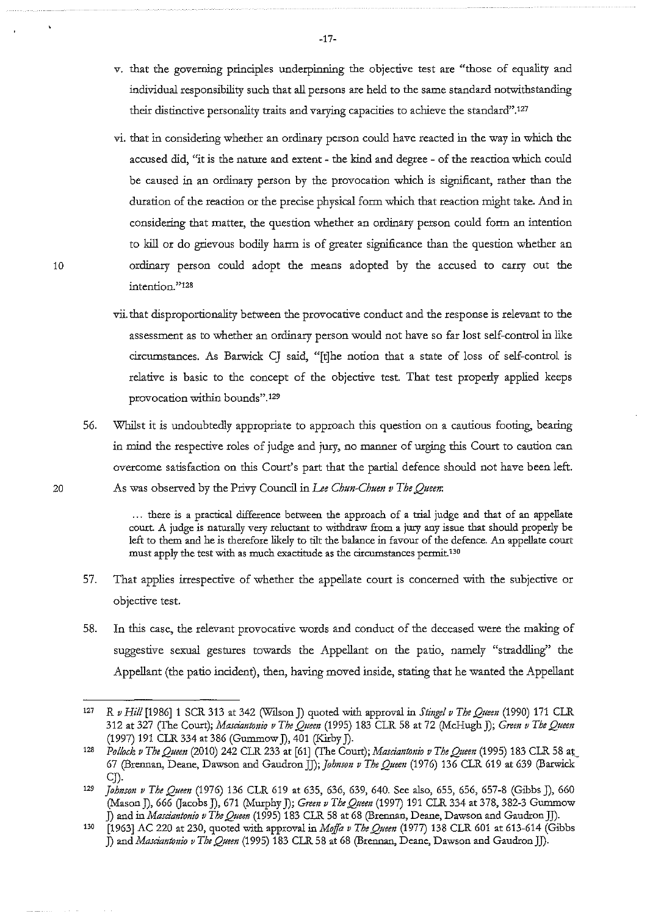- *v.* that the governing principles underpinning the objective test are "those of equality and individual responsibility such that all persons are held to the same standard notwithstanding their distinctive personality traits and varying capacities to achieve the standard".127
- vi. that in considering whether an ordinary person could have reacted in the way in which the accused did, "it is the nature and extent - the kind and degree - of the reaction which could be caused in an ordinary person by the provocation which is significant, rather than the duration of the reaction or the precise physical form which that reaction might take. And in considering that matter, the question whether an ordinary person could form an intention to kill or do grievous bodily harm is of greater significance than the question whether an ordinary person could adopt the means adopted by the accused to carry out the **intention. "128**
- vii. that clisproportionality between the provocative conduct and the response is relevant to the assessment as to whether an ordinary person would not have so far lost self-control in like circumstances. As Barwick CJ said, "[t]he notion that a state of loss of self-control is relative is basic to the concept of the objective test. That test properly applied keeps **provocation within bounds".129**
- 56. Whilst it is undoubtedly appropriate to approach this question on a cautious footing, bearing in mind the respective roles of judge and jury, no manner of urging this Court to caution can overcome satisfaction on this Court's part that the partial defence should not have been left. As was observed by the Privy Council in *Lee Chun-Chuen v The Queen*:

. . . there is a practical difference between the approach of a trial judge and that of an appellate court. A judge is naturally very reluctant to withdraw from a jury any issue that should properly be left to them and he is therefore likely to tilt the balance in favour of the defence. An appellate court must apply the test with as much exactitude as the circumstances permit.<sup>130</sup>

- 57. That applies irrespective of whether the appellate court is concerned with the subjective or objective test.
- 58. In this case, the relevant provocative words and conduct of the deceased were the making of suggestive sexual gestures towards the Appellant on the patio, namely "straddling" the Appellant (the patio incident), then, having moved inside, stating that he wanted the Appellant

20

-17-

<sup>127</sup>  *R v Hill* [1986]1 SCR 313 at 342 (Wilson J) quoted with approval in *Stinge/ v The Queen* (1990) 171 CLR 312 at 327 (The Court); *Masciantonio v The Quem* (1995) 183 CLR 58 at 72 (McHugh J); *Grem v The Queen*  (1997) 191 CLR 334 at 386 (Gummow J), 401 (Kirby J).

<sup>128</sup>  *Pollock v The Queen (2010) 242 CLR 233 at [61] (The Court); Masciantonio v The Queen (1995) 183 CLR 58 at* 67 (Brennan, Deane, Dawson and *GaudronJJ);Johnson v TheQtteen* (1976) 136 CLR 619 at 639 (Barwick CJ).

<sup>129</sup>*Johnson v The Queen* (1976) 136 CLR 619 at 635, 636, 639, 640. See also, 655, 656, 657-8 (Gibbs J), 660 (Mason J), 666 Q"acobs J), 671 (Murphy J); *Green v The Queen* (1997) 191 CLR 334 at 378, 382-3 Gummow J) and *inMasciantonio v The Queen* (1995) 183 CLR 58 at 68 (Brennan, Deane, Dawson and GaudronJJ).

<sup>[1963]</sup> AC 220 at 230, quoted with approval in *Mqffa v The Queen* (1977) 138 CLR 601 at 613-614 (Gibbs J) *andMasciantonio v The Queen* (1995) 183 CLR 58 at 68 (Brennan, Deane, Dawson and GaudronJJ). 130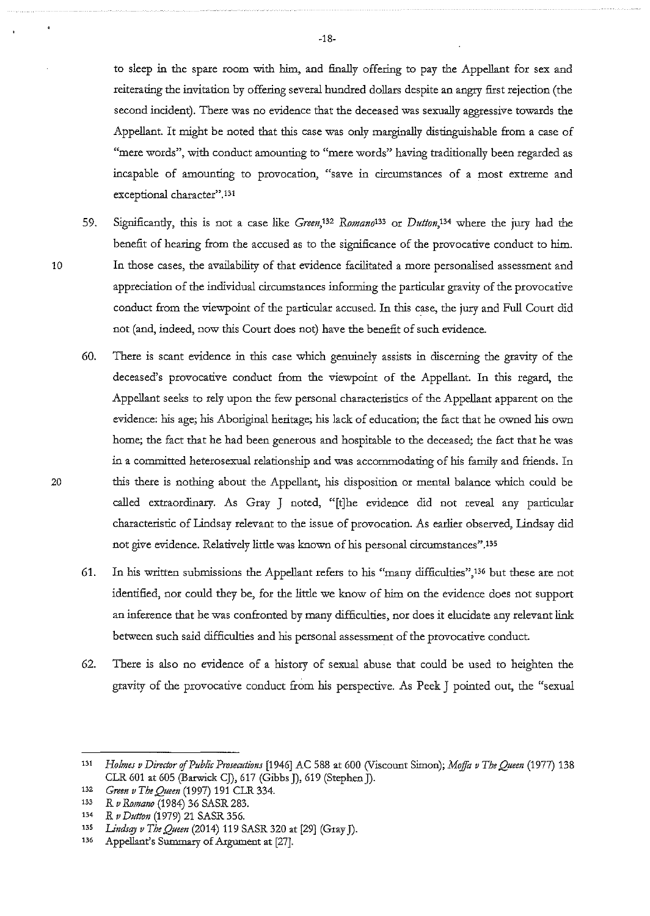to sleep in the spare room with him, and finally offering to pay the Appellant for sex and reiterating the invitation by offering several hundred dollars despite an angry first rejection (the second incident). There was no evidence that the deceased was sexually aggressive towards the Appellant. It might be noted that this case was only marginally distinguishable from a case of "mere words", with conduct amounting to "mere words" having traditionally been regarded as incapable of amounting to provocation, "save in circumstances of a most extreme and **exceptional character".131** 

- 59. Significantly, this is not a case like *Green*,<sup>132</sup> Romano<sup>133</sup> or *Dutton*,<sup>134</sup> where the jury had the benefit of hearing from the accused as to the significance of the provocative conduct to him. In those cases, the availability of that evidence facilitated a more personalised assessment and appreciation of the individual circumstances informing the particular gravity of the provocative conduct from the viewpoint of the particular accused. In this case, the jury and Full Court did not (and, indeed, now this Court does not) have the benefit of such evidence.
- 60. There is scant evidence in this case which genuinely assists in discerning the gravity of the deceased's provocative conduct from the viewpoint of the Appellant. In this regard, the Appellant seeks to rely upon the few personal characteristics of the Appellant apparent on the evidence: his age; his Aboriginal heritage; his lack of education; the fact that he owned his own home; the fact that he had been generous and hospitable to the deceased; the fact that he was in a committed heterosexual relationship and was accommodating of his family and friends. In this there is nothing about the Appellant, his disposition or mental balance which could be called extraordinary. As Gray J noted, "[t]he evidence did not reveal any particular characteristic of lindsay relevant to the issue of provocation. As earlier observed, Lindsay did not *give* evidence. Relatively little was known of his personal circumstances".135
- 61. In his written submissions the Appellant refers to his "many difficulties",l3G but these are not identified, nor could they be, for the little we know of him on the evidence does not support an inference that he was confronted by many difficulties, nor does it elucidate any relevant link between such said difficulties and his personal assessment of the provocative conduct.
- 62. There is also no evidence of a history of sexual abuse that could be used to heighten the gravity of the provocative conduct from his perspective. As Peek J pointed out, the "sexual

20

<sup>131</sup>*Holmes v Director* of *Public Prosecutions* [1946] AC 588 at 600 (Viscount Simon); *Moffa v The Queen* (1977) 138 CLR 601 at 605 (Barwick C], 617 (Gibbs], 619 (Stephen].

<sup>132</sup>*Grem v The Queen* (1997) 191 CLR 334.

m *R v Romano* (1984) 36 SASR 283.

<sup>134</sup>*R v Dutton* (1979) 21 SASR 356.

<sup>135</sup> *Lindsay v The Queen* (2014) 119 SASR 320 at [29] (Gray J).

<sup>136</sup> Appellant's Summary of Argument at [27].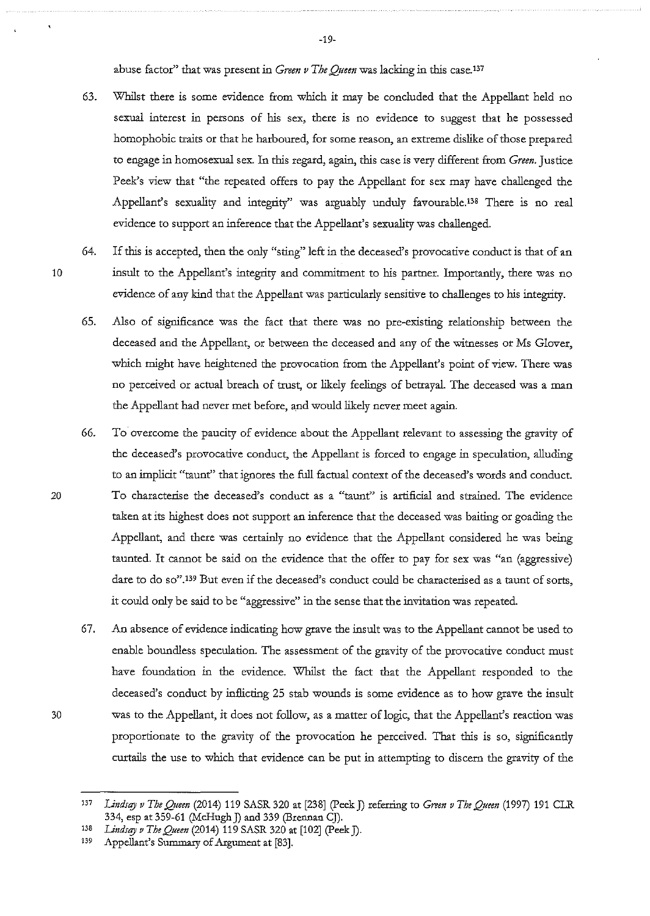abuse factor" that was present in *Green v The Queen* was lacking in this case.<sup>137</sup>

- 63. Whilst there is some evidence from which it may be concluded that the Appellant held no sexual interest in persons of his sex, there is no evidence to suggest that he possessed homophobic traits or that he harboured, for some reason, an extreme dislike of those prepared to engage in homosexual sex. In this regard, again, this case is very different from *Green.* Justice Peek's view that "the repeated offers to pay the Appellant for sex may have challenged the Appellant's sexuality and integrity" was arguably unduly favourable.138 There is no real evidence to support an inference that the Appellant's sexuality was challenged.
- 

20

30

64. If this is accepted, then the only "sting" left in the deceased's provocative conduct is that of an 10 insult to the Appellant's integrity and commitment to his partner. Importantly, there was no evidence of any kind that the Appellant was particularly sensitive to challenges to his integrity.

- 65. Also of significance was the fact that there was no pre-existing relationship between the deceased and the Appellant, or between the deceased and any of the witnesses or Ms Glover, which might have heightened the provocation from the Appellant's point of view. There was no perceived or actual breach of trust, or likely feelings of betrayal. The deceased was a man the Appellant had never met before, and would likely never meet again.
- 66. To overcome the paucity of evidence about the Appellant relevant to assessing the gravity of the deceased's provocative conduct, the Appellant is forced to engage in speculation, alluding to an implicit "taunt'' that ignores the full factual context of the deceased's words and conduct. To characterise the deceased's conduct as a "taunt" is artificial and strained. The evidence taken at its highest does not support an inference that the deceased was baiting or goading the Appellant, and there was certainly no evidence that the Appellant considered he was being taunted. It cannot be said on the evidence that the offer to pay for sex was "an (aggressive) dare to do so",139 But even if the deceased's conduct could be characterised as a taunt of sorts, it could only be said to be "aggressive" in the sense that the invitation was repeated.
- 67. An absence of evidence indicating how grave the insult was to the Appellant cannot be used to enable boundless speculation. The assessment of the gravity of the provocative conduct must have foundation in the evidence. Whilst the fact that the Appellant responded to the deceased's conduct by inflicting 25 stab wounds is some evidence as to how grave the insult was to the Appellant, it does not follow, as a matter of logic, that the Appellant's reaction was proportionate to the gravity of the provocation he perceived. That this is so, significantly curtails the use to which that evidence can be put in attempting to discern the gravity of the

-19-

<sup>137</sup> Lindsay v The Queen (2014) 119 SASR 320 at [238] (Peek J) referring to *Green v The Queen* (1997) 191 CLR 334, esp at 359-61 (McHugh J) and 339 (Brennan CJ).

<sup>138</sup> *Lindsay v The Queen* (2014) 119 SASR 320 at [102] (Peek J).

<sup>&</sup>lt;sup>139</sup> Appellant's Summary of Argument at [83].